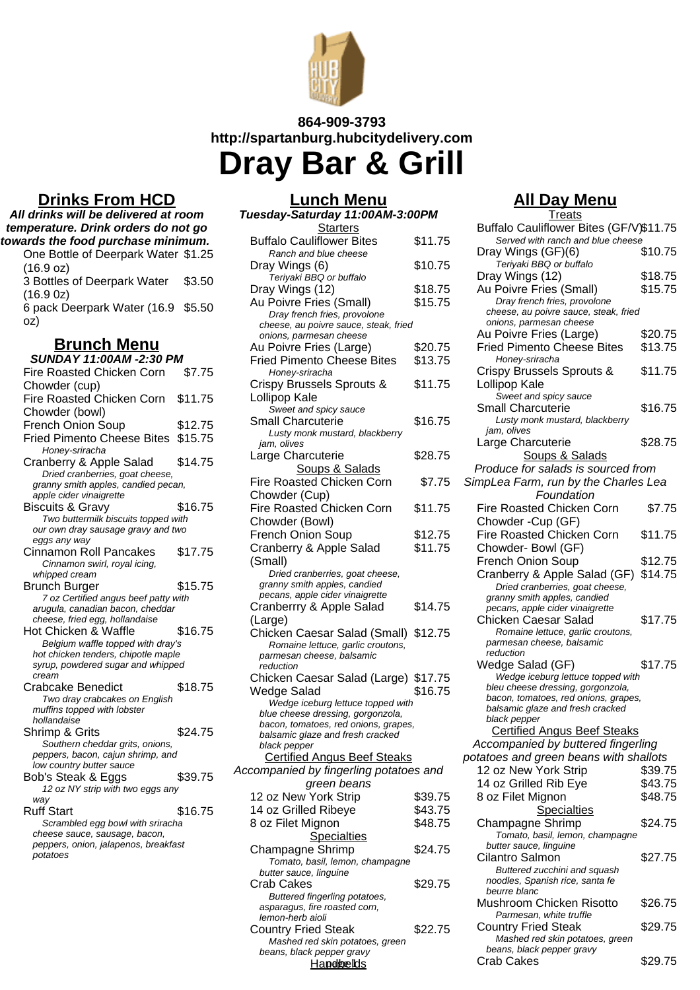

## **864-909-3793 http://spartanburg.hubcitydelivery.com Dray Bar & Grill**

## **Drinks From HCD**

| All drinks will be delivered at room                                     |         |  |
|--------------------------------------------------------------------------|---------|--|
| temperature. Drink orders do not go                                      |         |  |
| towards the food purchase minimum.                                       |         |  |
| One Bottle of Deerpark Water \$1.25                                      |         |  |
| (16.9 oz)                                                                |         |  |
| 3 Bottles of Deerpark Water                                              | \$3.50  |  |
| $(16.9 \text{ oz})$                                                      |         |  |
| 6 pack Deerpark Water (16.9 \$5.50                                       |         |  |
| oz)                                                                      |         |  |
| <b>Brunch Menu</b>                                                       |         |  |
| <b>SUNDAY 11:00AM -2:30 PM</b>                                           |         |  |
| Fire Roasted Chicken Corn                                                | \$7.75  |  |
| Chowder (cup)                                                            |         |  |
| Fire Roasted Chicken Corn                                                | \$11.75 |  |
| Chowder (bowl)                                                           |         |  |
| French Onion Soup                                                        | \$12.75 |  |
| Fried Pimento Cheese Bites \$15.75                                       |         |  |
| Honey-sriracha                                                           |         |  |
| Cranberry & Apple Salad                                                  | \$14.75 |  |
| Dried cranberries, goat cheese,                                          |         |  |
| granny smith apples, candied pecan,<br>apple cider vinaigrette           |         |  |
| <b>Biscuits &amp; Gravy</b>                                              | \$16.75 |  |
| Two buttermilk biscuits topped with                                      |         |  |
| our own dray sausage gravy and two                                       |         |  |
| eggs any way                                                             |         |  |
| Cinnamon Roll Pancakes                                                   | \$17.75 |  |
| Cinnamon swirl, royal icing,                                             |         |  |
| whipped cream<br>Brunch Burger                                           | \$15.75 |  |
| 7 oz Certified angus beef patty with                                     |         |  |
| arugula, canadian bacon, cheddar                                         |         |  |
| cheese, fried egg, hollandaise                                           |         |  |
| Hot Chicken & Waffle                                                     | \$16.75 |  |
| Belgium waffle topped with dray's<br>hot chicken tenders, chipotle maple |         |  |
| syrup, powdered sugar and whipped                                        |         |  |
| cream                                                                    |         |  |
| <b>Crabcake Benedict</b>                                                 | \$18.75 |  |
| Two dray crabcakes on English                                            |         |  |
| muffins topped with lobster<br>hollandaise                               |         |  |
| Shrimp & Grits                                                           | \$24.75 |  |
| Southern cheddar grits, onions,                                          |         |  |
| peppers, bacon, cajun shrimp, and                                        |         |  |
| low country butter sauce                                                 |         |  |
| Bob's Steak & Eggs                                                       | \$39.75 |  |
| 12 oz NY strip with two eggs any                                         |         |  |
| way<br><b>Ruff Start</b>                                                 | \$16.75 |  |
| Scrambled egg bowl with sriracha                                         |         |  |
| cheese sauce, sausage, bacon,                                            |         |  |
| peppers, onion, jalapenos, breakfast                                     |         |  |
| potatoes                                                                 |         |  |
|                                                                          |         |  |

## **Lunch Menu Tuesday-Saturday 11:00AM-3:00PM**

| <b>Starters</b>                                    |         |
|----------------------------------------------------|---------|
| <b>Buffalo Cauliflower Bites</b>                   | \$11.75 |
| Ranch and blue cheese                              |         |
| Dray Wings (6)                                     | \$10.75 |
| Teriyaki BBQ or buffalo                            |         |
| Dray Wings (12)                                    | \$18.75 |
| Au Poivre Fries (Small)                            | \$15.75 |
| Dray french fries, provolone                       |         |
| cheese, au poivre sauce, steak, fried              |         |
| onions, parmesan cheese<br>Au Poivre Fries (Large) | \$20.75 |
| <b>Fried Pimento Cheese Bites</b>                  | \$13.75 |
| Honey-sriracha                                     |         |
| Crispy Brussels Sprouts &                          | \$11.75 |
| Lollipop Kale                                      |         |
| Sweet and spicy sauce                              |         |
| <b>Small Charcuterie</b>                           | \$16.75 |
| Lusty monk mustard, blackberry                     |         |
| jam, olives                                        |         |
| Large Charcuterie                                  | \$28.75 |
| Soups & Salads                                     |         |
| Fire Roasted Chicken Corn                          | \$7.75  |
| Chowder (Cup)                                      |         |
| Fire Roasted Chicken Corn                          | \$11.75 |
| Chowder (Bowl)                                     |         |
| <b>French Onion Soup</b>                           | \$12.75 |
| Cranberry & Apple Salad                            | \$11.75 |
| (Small)                                            |         |
| Dried cranberries, goat cheese,                    |         |
| granny smith apples, candied                       |         |
| pecans, apple cider vinaigrette                    |         |
| Cranberrry & Apple Salad                           | \$14.75 |
| (Large)                                            |         |
| Chicken Caesar Salad (Small) \$12.75               |         |
| Romaine lettuce, garlic croutons,                  |         |
| parmesan cheese, balsamic<br>reduction             |         |
| Chicken Caesar Salad (Large) \$17.75               |         |
| <b>Wedge Salad</b>                                 | \$16.75 |
| Wedge iceburg lettuce topped with                  |         |
| blue cheese dressing, gorgonzola,                  |         |
| bacon, tomatoes, red onions, grapes,               |         |
| balsamic glaze and fresh cracked                   |         |
| black pepper                                       |         |
| <b>Certified Angus Beef Steaks</b>                 |         |
| Accompanied by fingerling potatoes and             |         |
| green beans                                        |         |
| 12 oz New York Strip                               | \$39.75 |
| 14 oz Grilled Ribeye                               | \$43.75 |
| 8 oz Filet Mignon                                  | \$48.75 |
| <b>Specialties</b>                                 |         |
| Champagne Shrimp                                   | \$24.75 |
| Tomato, basil, lemon, champagne                    |         |
| butter sauce, linguine<br><b>Crab Cakes</b>        | \$29.75 |
| Buttered fingerling potatoes,                      |         |
| asparagus, fire roasted corn,                      |         |
| lemon-herb aioli                                   |         |
| <b>Country Fried Steak</b>                         | \$22.75 |
| Mashed red skin potatoes, green                    |         |
| beans, black pepper gravy                          |         |

## **All Day Menu**

**Treats** 

| <b>Starters</b>                                    |         | Buffalo Cauliflower Bites (GF/V)\$11.75                                   |         |
|----------------------------------------------------|---------|---------------------------------------------------------------------------|---------|
| liflower Bites                                     | \$11.75 | Served with ranch and blue cheese                                         |         |
| d blue cheese                                      |         | Dray Wings (GF)(6)                                                        | \$10.75 |
| (6)                                                | \$10.75 | Teriyaki BBQ or buffalo                                                   | \$18.75 |
| <b>BQ</b> or buffalo                               | \$18.75 | Dray Wings (12)                                                           | \$15.75 |
| (12)                                               | \$15.75 | Au Poivre Fries (Small)<br>Dray french fries, provolone                   |         |
| ries (Small)<br>ch fries, provolone                |         | cheese, au poivre sauce, steak, fried                                     |         |
| poivre sauce, steak, fried                         |         | onions, parmesan cheese                                                   |         |
| nesan cheese                                       |         | Au Poivre Fries (Large)                                                   | \$20.75 |
| ries (Large)                                       | \$20.75 | <b>Fried Pimento Cheese Bites</b>                                         | \$13.75 |
| ิ<br>เto Cheese Bites                              | \$13.75 | Honey-sriracha                                                            |         |
| racha                                              |         | Crispy Brussels Sprouts &                                                 | \$11.75 |
| sels Sprouts &                                     | \$11.75 | Lollipop Kale                                                             |         |
| е                                                  |         | Sweet and spicy sauce<br>Small Charcuterie                                | \$16.75 |
| d spicy sauce<br>cuterie                           | \$16.75 | Lusty monk mustard, blackberry                                            |         |
| ik mustard, blackberry                             |         | jam, olives                                                               |         |
|                                                    |         | Large Charcuterie                                                         | \$28.75 |
| cuterie                                            | \$28.75 | <b>Soups &amp; Salads</b>                                                 |         |
| <u>ups &amp; Salads</u>                            |         | Produce for salads is sourced from                                        |         |
| d Chicken Corn                                     | \$7.75  | SimpLea Farm, run by the Charles Lea                                      |         |
| ;up)                                               |         | Foundation                                                                |         |
| d Chicken Corn                                     | \$11.75 | Fire Roasted Chicken Corn                                                 | \$7.75  |
| owl)                                               |         | Chowder - Cup (GF)                                                        |         |
| วท Soup                                            | \$12.75 | Fire Roasted Chicken Corn                                                 | \$11.75 |
| Apple Salad                                        | \$11.75 | Chowder- Bowl (GF)                                                        |         |
|                                                    |         | <b>French Onion Soup</b>                                                  | \$12.75 |
| nberries, goat cheese,                             |         | Cranberry & Apple Salad (GF)                                              | \$14.75 |
| h apples, candied                                  |         | Dried cranberries, goat cheese,                                           |         |
| le cider vinaigrette<br>& Apple Salad              | \$14.75 | granny smith apples, candied                                              |         |
|                                                    |         | pecans, apple cider vinaigrette<br>Chicken Caesar Salad                   | \$17.75 |
| esar Salad (Small) \$12.75                         |         | Romaine lettuce, garlic croutons,                                         |         |
| lettuce, garlic croutons,                          |         | parmesan cheese, balsamic                                                 |         |
| heese, balsamic                                    |         | reduction                                                                 |         |
|                                                    |         | Wedge Salad (GF)                                                          | \$17.75 |
| esar Salad (Large) \$17.75                         |         | Wedge iceburg lettuce topped with                                         |         |
| ad                                                 | \$16.75 | bleu cheese dressing, gorgonzola,<br>bacon, tomatoes, red onions, grapes, |         |
| eburg lettuce topped with                          |         | balsamic glaze and fresh cracked                                          |         |
| dressing, gorgonzola,<br>toes, red onions, grapes, |         | black pepper                                                              |         |
| ıze and fresh cracked                              |         | <b>Certified Angus Beef Steaks</b>                                        |         |
| r —                                                |         | Accompanied by buttered fingerling                                        |         |
| <b>Angus Beef Steaks</b>                           |         | potatoes and green beans with shallots                                    |         |
| by fingerling potatoes and                         |         | 12 oz New York Strip                                                      | \$39.75 |
| <i>reen beans</i>                                  |         | 14 oz Grilled Rib Eye                                                     | \$43.75 |
| York Strip                                         | \$39.75 | 8 oz Filet Mignon                                                         | \$48.75 |
| d Ribeye                                           | \$43.75 | <b>Specialties</b>                                                        |         |
| ignon                                              | \$48.75 | Champagne Shrimp                                                          | \$24.75 |
| <u>Specialties</u>                                 |         | Tomato, basil, lemon, champagne                                           |         |
| e Shrimp                                           | \$24.75 | butter sauce, linguine<br>Cilantro Salmon                                 | \$27.75 |
| asil, lemon, champagne                             |         | Buttered zucchini and squash                                              |         |
| , linguine                                         | \$29.75 | noodles, Spanish rice, santa fe                                           |         |
| ingerling potatoes,                                |         | beurre blanc                                                              |         |
| fire roasted corn,                                 |         | Mushroom Chicken Risotto                                                  | \$26.75 |
| aioli                                              |         | Parmesan, white truffle                                                   |         |
| ed Steak                                           | \$22.75 | <b>Country Fried Steak</b><br>Mashed red skin potatoes, green             | \$29.75 |
| ed skin potatoes, green                            |         | beans, black pepper gravy                                                 |         |
| k pepper gravy<br><u>Handobelids</u>               |         | Crab Cakes                                                                | \$29.75 |
|                                                    |         |                                                                           |         |